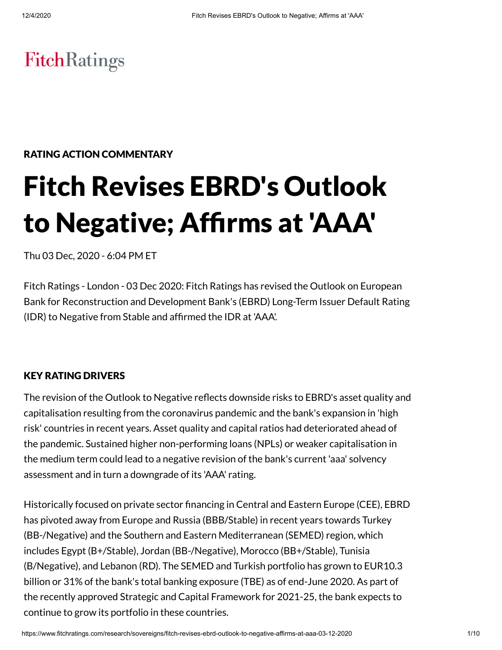# **FitchRatings**

# RATING ACTION COMMENTARY

# Fitch Revises EBRD's Outlook to Negative; Affirms at 'AAA'

Thu 03 Dec, 2020 - 6:04 PM ET

Fitch Ratings - London - 03 Dec 2020: Fitch Ratings has revised the Outlook on European Bank for Reconstruction and Development Bank's (EBRD) Long-Term Issuer Default Rating (IDR) to Negative from Stable and afrmed the IDR at 'AAA'.

# KEY RATING DRIVERS

The revision of the Outlook to Negative reflects downside risks to EBRD's asset quality and capitalisation resulting from the coronavirus pandemic and the bank's expansion in 'high risk' countries in recent years. Asset quality and capital ratios had deteriorated ahead of the pandemic. Sustained higher non-performing loans (NPLs) or weaker capitalisation in the medium term could lead to a negative revision of the bank's current 'aaa' solvency assessment and in turn a downgrade of its 'AAA' rating.

Historically focused on private sector financing in Central and Eastern Europe (CEE), EBRD has pivoted away from Europe and Russia (BBB/Stable) in recent years towards Turkey (BB-/Negative) and the Southern and Eastern Mediterranean (SEMED) region, which includes Egypt (B+/Stable), Jordan (BB-/Negative), Morocco (BB+/Stable), Tunisia (B/Negative), and Lebanon (RD). The SEMED and Turkish portfolio has grown to EUR10.3 billion or 31% of the bank's total banking exposure (TBE) as of end-June 2020. As part of the recently approved Strategic and Capital Framework for 2021-25, the bank expects to continue to grow its portfolio in these countries.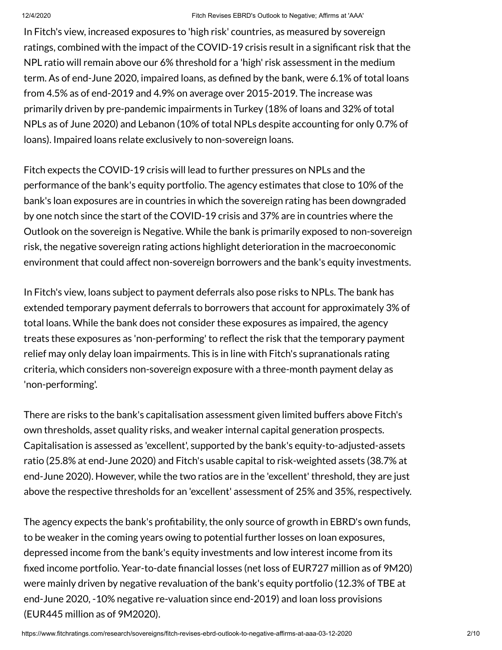In Fitch's view, increased exposures to 'high risk' countries, as measured by sovereign ratings, combined with the impact of the COVID-19 crisis result in a significant risk that the NPL ratio will remain above our 6% threshold for a 'high' risk assessment in the medium term. As of end-June 2020, impaired loans, as defined by the bank, were 6.1% of total loans from 4.5% as of end-2019 and 4.9% on average over 2015-2019. The increase was primarily driven by pre-pandemic impairments in Turkey (18% of loans and 32% of total NPLs as of June 2020) and Lebanon (10% of total NPLs despite accounting for only 0.7% of loans). Impaired loans relate exclusively to non-sovereign loans.

Fitch expects the COVID-19 crisis will lead to further pressures on NPLs and the performance of the bank's equity portfolio. The agency estimates that close to 10% of the bank's loan exposures are in countries in which the sovereign rating has been downgraded by one notch since the start of the COVID-19 crisis and 37% are in countries where the Outlook on the sovereign is Negative. While the bank is primarily exposed to non-sovereign risk, the negative sovereign rating actions highlight deterioration in the macroeconomic environment that could affect non-sovereign borrowers and the bank's equity investments.

In Fitch's view, loans subject to payment deferrals also pose risks to NPLs. The bank has extended temporary payment deferrals to borrowers that account for approximately 3% of total loans. While the bank does not consider these exposures as impaired, the agency treats these exposures as 'non-performing' to reflect the risk that the temporary payment relief may only delay loan impairments. This is in line with Fitch's supranationals rating criteria, which considers non-sovereign exposure with a three-month payment delay as 'non-performing'.

There are risks to the bank's capitalisation assessment given limited buffers above Fitch's own thresholds, asset quality risks, and weaker internal capital generation prospects. Capitalisation is assessed as 'excellent', supported by the bank's equity-to-adjusted-assets ratio (25.8% at end-June 2020) and Fitch's usable capital to risk-weighted assets (38.7% at end-June 2020). However, while the two ratios are in the 'excellent' threshold, they are just above the respective thresholds for an 'excellent' assessment of 25% and 35%, respectively.

The agency expects the bank's profitability, the only source of growth in EBRD's own funds, to be weaker in the coming years owing to potential further losses on loan exposures, depressed income from the bank's equity investments and low interest income from its fixed income portfolio. Year-to-date financial losses (net loss of EUR727 million as of 9M20) were mainly driven by negative revaluation of the bank's equity portfolio (12.3% of TBE at end-June 2020, -10% negative re-valuation since end-2019) and loan loss provisions (EUR445 million as of 9M2020).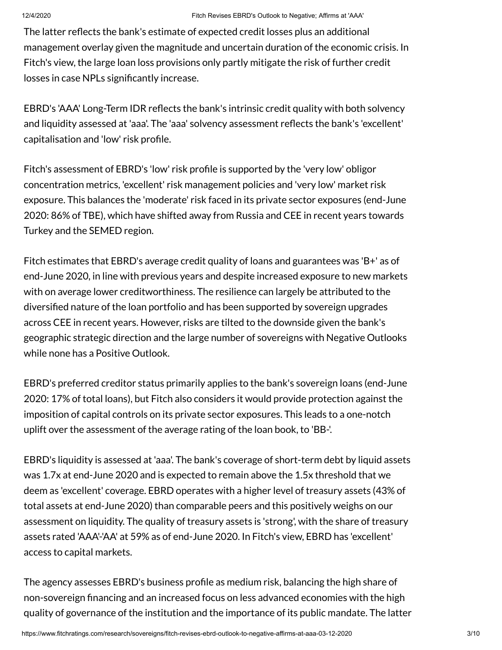The latter reflects the bank's estimate of expected credit losses plus an additional management overlay given the magnitude and uncertain duration of the economic crisis. In Fitch's view, the large loan loss provisions only partly mitigate the risk of further credit losses in case NPLs significantly increase.

EBRD's 'AAA' Long-Term IDR reflects the bank's intrinsic credit quality with both solvency and liquidity assessed at 'aaa'. The 'aaa' solvency assessment reflects the bank's 'excellent' capitalisation and 'low' risk profile.

Fitch's assessment of EBRD's 'low' risk profile is supported by the 'very low' obligor concentration metrics, 'excellent' risk management policies and 'very low' market risk exposure. This balances the 'moderate' risk faced in its private sector exposures (end-June 2020: 86% of TBE), which have shifted away from Russia and CEE in recent years towards Turkey and the SEMED region.

Fitch estimates that EBRD's average credit quality of loans and guarantees was 'B+' as of end-June 2020, in line with previous years and despite increased exposure to new markets with on average lower creditworthiness. The resilience can largely be attributed to the diversified nature of the loan portfolio and has been supported by sovereign upgrades across CEE in recent years. However, risks are tilted to the downside given the bank's geographic strategic direction and the large number of sovereigns with Negative Outlooks while none has a Positive Outlook.

EBRD's preferred creditor status primarily applies to the bank's sovereign loans (end-June 2020: 17% of total loans), but Fitch also considers it would provide protection against the imposition of capital controls on its private sector exposures. This leads to a one-notch uplift over the assessment of the average rating of the loan book, to 'BB-'.

EBRD's liquidity is assessed at 'aaa'. The bank's coverage of short-term debt by liquid assets was 1.7x at end-June 2020 and is expected to remain above the 1.5x threshold that we deem as 'excellent' coverage. EBRD operates with a higher level of treasury assets (43% of total assets at end-June 2020) than comparable peers and this positively weighs on our assessment on liquidity. The quality of treasury assets is 'strong', with the share of treasury assets rated 'AAA'-'AA' at 59% as of end-June 2020. In Fitch's view, EBRD has 'excellent' access to capital markets.

The agency assesses EBRD's business profile as medium risk, balancing the high share of non-sovereign financing and an increased focus on less advanced economies with the high quality of governance of the institution and the importance of its public mandate. The latter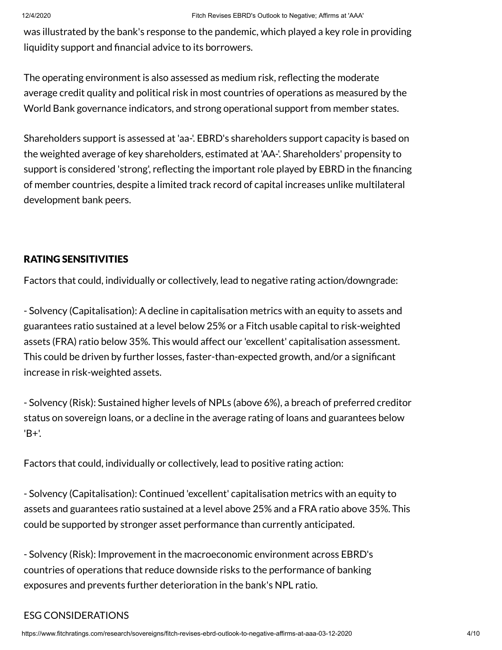was illustrated by the bank's response to the pandemic, which played a key role in providing liquidity support and financial advice to its borrowers.

The operating environment is also assessed as medium risk, reflecting the moderate average credit quality and political risk in most countries of operations as measured by the World Bank governance indicators, and strong operational support from member states.

Shareholders support is assessed at 'aa-'. EBRD's shareholders support capacity is based on the weighted average of key shareholders, estimated at 'AA-'. Shareholders' propensity to support is considered 'strong', reflecting the important role played by EBRD in the financing of member countries, despite a limited track record of capital increases unlike multilateral development bank peers.

# RATING SENSITIVITIES

Factors that could, individually or collectively, lead to negative rating action/downgrade:

- Solvency (Capitalisation): A decline in capitalisation metrics with an equity to assets and guarantees ratio sustained at a level below 25% or a Fitch usable capital to risk-weighted assets (FRA) ratio below 35%. This would affect our 'excellent' capitalisation assessment. This could be driven by further losses, faster-than-expected growth, and/or a significant increase in risk-weighted assets.

- Solvency (Risk): Sustained higher levels of NPLs (above 6%), a breach of preferred creditor status on sovereign loans, or a decline in the average rating of loans and guarantees below 'B+'.

Factors that could, individually or collectively, lead to positive rating action:

- Solvency (Capitalisation): Continued 'excellent' capitalisation metrics with an equity to assets and guarantees ratio sustained at a level above 25% and a FRA ratio above 35%. This could be supported by stronger asset performance than currently anticipated.

- Solvency (Risk): Improvement in the macroeconomic environment across EBRD's countries of operations that reduce downside risks to the performance of banking exposures and prevents further deterioration in the bank's NPL ratio.

# ESG CONSIDERATIONS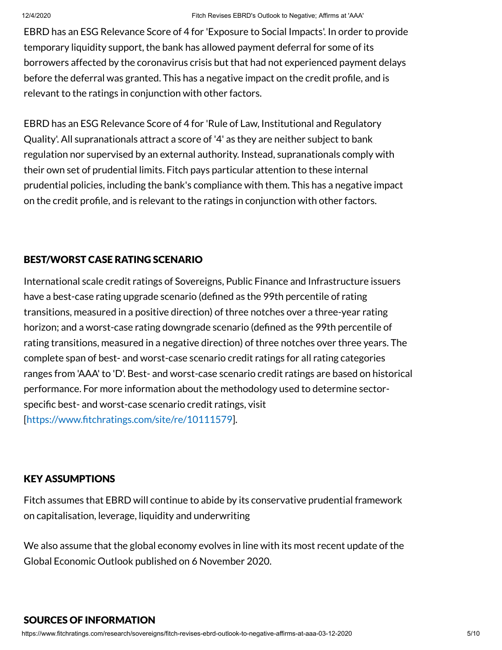EBRD has an ESG Relevance Score of 4 for 'Exposure to Social Impacts'. In order to provide temporary liquidity support, the bank has allowed payment deferral for some of its borrowers affected by the coronavirus crisis but that had not experienced payment delays before the deferral was granted. This has a negative impact on the credit profile, and is relevant to the ratings in conjunction with other factors.

EBRD has an ESG Relevance Score of 4 for 'Rule of Law, Institutional and Regulatory Quality'. All supranationals attract a score of '4' as they are neither subject to bank regulation nor supervised by an external authority. Instead, supranationals comply with their own set of prudential limits. Fitch pays particular attention to these internal prudential policies, including the bank's compliance with them. This has a negative impact on the credit profile, and is relevant to the ratings in conjunction with other factors.

# BEST/WORST CASE RATING SCENARIO

International scale credit ratings of Sovereigns, Public Finance and Infrastructure issuers have a best-case rating upgrade scenario (defined as the 99th percentile of rating transitions, measured in a positive direction) of three notches over a three-year rating horizon; and a worst-case rating downgrade scenario (defined as the 99th percentile of rating transitions, measured in a negative direction) of three notches over three years. The complete span of best- and worst-case scenario credit ratings for all rating categories ranges from 'AAA' to 'D'. Best- and worst-case scenario credit ratings are based on historical performance. For more information about the methodology used to determine sectorspecific best- and worst-case scenario credit ratings, visit [https://www.fitchratings.com/site/re/10111579].

# KEY ASSUMPTIONS

Fitch assumes that EBRD will continue to abide by its conservative prudential framework on capitalisation, leverage, liquidity and underwriting

We also assume that the global economy evolves in line with its most recent update of the Global Economic Outlook published on 6 November 2020.

# SOURCES OF INFORMATION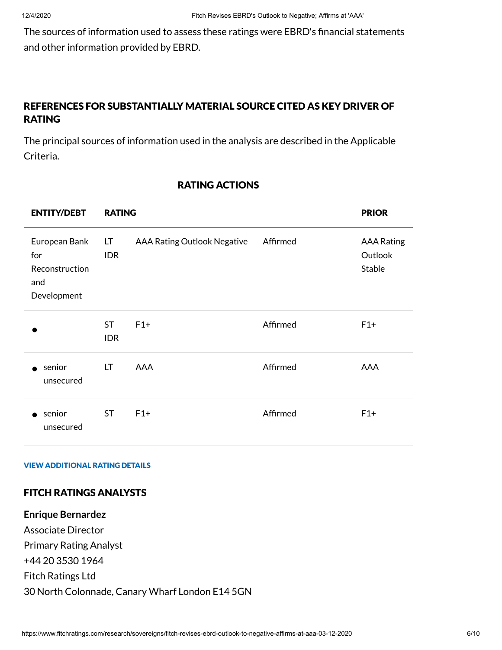The sources of information used to assess these ratings were EBRD's financial statements and other information provided by EBRD.

# REFERENCES FOR SUBSTANTIALLY MATERIAL SOURCE CITED AS KEY DRIVER OF RATING

The principal sources of information used in the analysis are described in the Applicable Criteria.

# RATING ACTIONS

| <b>ENTITY/DEBT</b>                                           | <b>RATING</b>           |                                    |          | <b>PRIOR</b>                           |
|--------------------------------------------------------------|-------------------------|------------------------------------|----------|----------------------------------------|
| European Bank<br>for<br>Reconstruction<br>and<br>Development | LT<br><b>IDR</b>        | <b>AAA Rating Outlook Negative</b> | Affirmed | <b>AAA Rating</b><br>Outlook<br>Stable |
|                                                              | <b>ST</b><br><b>IDR</b> | $F1+$                              | Affirmed | $F1+$                                  |
| senior<br>unsecured                                          | LT                      | <b>AAA</b>                         | Affirmed | <b>AAA</b>                             |
| senior<br>unsecured                                          | <b>ST</b>               | $F1+$                              | Affirmed | $F1+$                                  |

## VIEW ADDITIONAL RATING DETAILS

# FITCH RATINGS ANALYSTS

**Enrique Bernardez** Associate Director Primary Rating Analyst +44 20 3530 1964 Fitch Ratings Ltd 30 North Colonnade, Canary Wharf London E14 5GN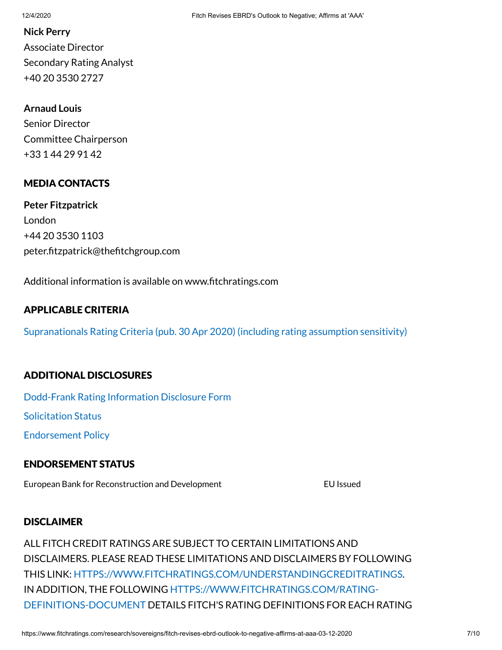#### **Nick Perry**

Associate Director Secondary Rating Analyst +40 20 3530 2727

## **Arnaud Louis**

Senior Director Committee Chairperson +33 1 44 29 91 42

# MEDIA CONTACTS

**Peter Fitzpatrick** London +44 20 3530 1103 peter.fitzpatrick@thefitchgroup.com

Additional information is available on www.fitchratings.com

# APPLICABLE CRITERIA

[Supranationals](https://www.fitchratings.com/research/sovereigns/supranationals-rating-criteria-30-04-2020) Rating Criteria (pub. 30 Apr 2020) (including rating assumption sensitivity)

# ADDITIONAL DISCLOSURES

[Dodd-Frank](https://www.fitchratings.com/research/sovereigns/fitch-revises-ebrd-outlook-to-negative-affirms-at-aaa-03-12-2020/dodd-frank-disclosure) Rating Information Disclosure Form

[Solicitation](#page-9-0) Status

[Endorsement](#page-9-1) Policy

# ENDORSEMENT STATUS

European Bank for Reconstruction and Development EU Issued

# **DISCLAIMER**

ALL FITCH CREDIT RATINGS ARE SUBJECT TO CERTAIN LIMITATIONS AND DISCLAIMERS. PLEASE READ THESE LIMITATIONS AND DISCLAIMERS BY FOLLOWING THIS LINK: [HTTPS://WWW.FITCHRATINGS.COM/UNDERSTANDINGCREDITRATINGS](https://www.fitchratings.com/UNDERSTANDINGCREDITRATINGS). IN ADDITION, THE FOLLOWING [HTTPS://WWW.FITCHRATINGS.COM/RATING-](https://www.fitchratings.com/rating-definitions-document)DEFINITIONS-DOCUMENT DETAILS FITCH'S RATING DEFINITIONS FOR EACH RATING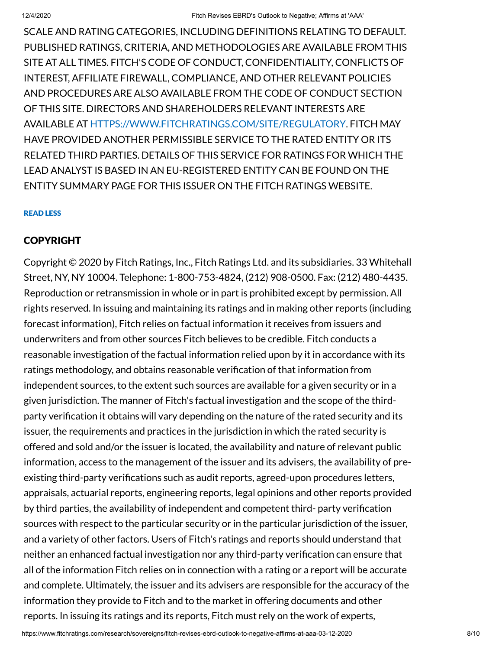SCALE AND RATING CATEGORIES, INCLUDING DEFINITIONS RELATING TO DEFAULT. PUBLISHED RATINGS, CRITERIA, AND METHODOLOGIES ARE AVAILABLE FROM THIS SITE AT ALL TIMES. FITCH'S CODE OF CONDUCT, CONFIDENTIALITY, CONFLICTS OF INTEREST, AFFILIATE FIREWALL, COMPLIANCE, AND OTHER RELEVANT POLICIES AND PROCEDURES ARE ALSO AVAILABLE FROM THE CODE OF CONDUCT SECTION OF THIS SITE. DIRECTORS AND SHAREHOLDERS RELEVANT INTERESTS ARE AVAILABLE AT [HTTPS://WWW.FITCHRATINGS.COM/SITE/REGULATORY](https://www.fitchratings.com/site/regulatory). FITCH MAY HAVE PROVIDED ANOTHER PERMISSIBLE SERVICE TO THE RATED ENTITY OR ITS RELATED THIRD PARTIES. DETAILS OF THIS SERVICE FOR RATINGS FOR WHICH THE LEAD ANALYST IS BASED IN AN EU-REGISTERED ENTITY CAN BE FOUND ON THE ENTITY SUMMARY PAGE FOR THIS ISSUER ON THE FITCH RATINGS WEBSITE.

### READ LESS

# COPYRIGHT

Copyright © 2020 by Fitch Ratings, Inc., Fitch Ratings Ltd. and its subsidiaries. 33 Whitehall Street, NY, NY 10004. Telephone: 1-800-753-4824, (212) 908-0500. Fax: (212) 480-4435. Reproduction or retransmission in whole or in part is prohibited except by permission. All rights reserved. In issuing and maintaining its ratings and in making other reports (including forecast information), Fitch relies on factual information it receives from issuers and underwriters and from other sources Fitch believes to be credible. Fitch conducts a reasonable investigation of the factual information relied upon by it in accordance with its ratings methodology, and obtains reasonable verification of that information from independent sources, to the extent such sources are available for a given security or in a given jurisdiction. The manner of Fitch's factual investigation and the scope of the thirdparty verification it obtains will vary depending on the nature of the rated security and its issuer, the requirements and practices in the jurisdiction in which the rated security is offered and sold and/or the issuer is located, the availability and nature of relevant public information, access to the management of the issuer and its advisers, the availability of preexisting third-party verifications such as audit reports, agreed-upon procedures letters, appraisals, actuarial reports, engineering reports, legal opinions and other reports provided by third parties, the availability of independent and competent third- party verification sources with respect to the particular security or in the particular jurisdiction of the issuer, and a variety of other factors. Users of Fitch's ratings and reports should understand that neither an enhanced factual investigation nor any third-party verification can ensure that all of the information Fitch relies on in connection with a rating or a report will be accurate and complete. Ultimately, the issuer and its advisers are responsible for the accuracy of the information they provide to Fitch and to the market in offering documents and other reports. In issuing its ratings and its reports, Fitch must rely on the work of experts,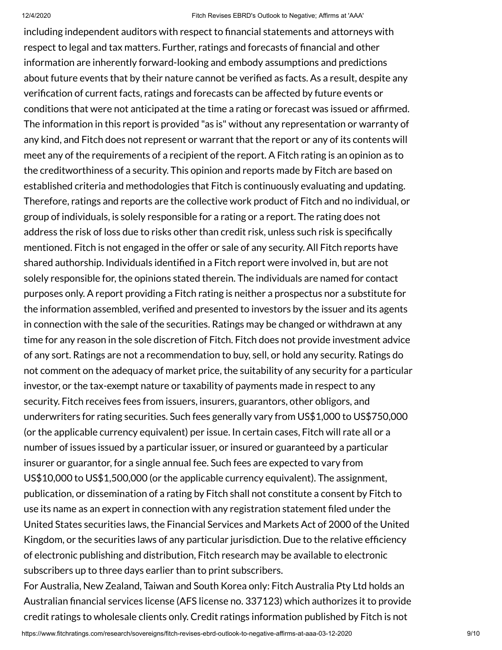including independent auditors with respect to financial statements and attorneys with respect to legal and tax matters. Further, ratings and forecasts of financial and other information are inherently forward-looking and embody assumptions and predictions about future events that by their nature cannot be verified as facts. As a result, despite any verification of current facts, ratings and forecasts can be affected by future events or conditions that were not anticipated at the time a rating or forecast was issued or afrmed. The information in this report is provided "as is" without any representation or warranty of any kind, and Fitch does not represent or warrant that the report or any of its contents will meet any of the requirements of a recipient of the report. A Fitch rating is an opinion as to the creditworthiness of a security. This opinion and reports made by Fitch are based on established criteria and methodologies that Fitch is continuously evaluating and updating. Therefore, ratings and reports are the collective work product of Fitch and no individual, or group of individuals, is solely responsible for a rating or a report. The rating does not address the risk of loss due to risks other than credit risk, unless such risk is specifically mentioned. Fitch is not engaged in the offer or sale of any security. All Fitch reports have shared authorship. Individuals identified in a Fitch report were involved in, but are not solely responsible for, the opinions stated therein. The individuals are named for contact purposes only. A report providing a Fitch rating is neither a prospectus nor a substitute for the information assembled, verified and presented to investors by the issuer and its agents in connection with the sale of the securities. Ratings may be changed or withdrawn at any time for any reason in the sole discretion of Fitch. Fitch does not provide investment advice of any sort. Ratings are not a recommendation to buy, sell, or hold any security. Ratings do not comment on the adequacy of market price, the suitability of any security for a particular investor, or the tax-exempt nature or taxability of payments made in respect to any security. Fitch receives fees from issuers, insurers, guarantors, other obligors, and underwriters for rating securities. Such fees generally vary from US\$1,000 to US\$750,000 (or the applicable currency equivalent) per issue. In certain cases, Fitch will rate all or a number of issues issued by a particular issuer, or insured or guaranteed by a particular insurer or guarantor, for a single annual fee. Such fees are expected to vary from US\$10,000 to US\$1,500,000 (or the applicable currency equivalent). The assignment, publication, or dissemination of a rating by Fitch shall not constitute a consent by Fitch to use its name as an expert in connection with any registration statement filed under the United States securities laws, the Financial Services and Markets Act of 2000 of the United Kingdom, or the securities laws of any particular jurisdiction. Due to the relative efficiency of electronic publishing and distribution, Fitch research may be available to electronic subscribers up to three days earlier than to print subscribers.

For Australia, New Zealand, Taiwan and South Korea only: Fitch Australia Pty Ltd holds an Australian financial services license (AFS license no. 337123) which authorizes it to provide credit ratings to wholesale clients only. Credit ratings information published by Fitch is not